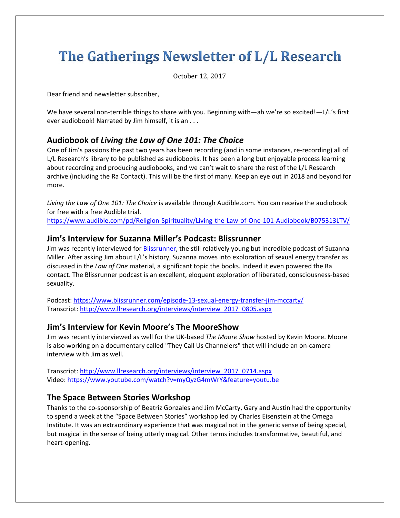# The Gatherings Newsletter of L/L Research

October 12, 2017 

Dear friend and newsletter subscriber,

We have several non-terrible things to share with you. Beginning with—ah we're so excited!—L/L's first ever audiobook! Narrated by Jim himself, it is an . . .

# **Audiobook of** *Living the Law of One 101: The Choice*

One of Jim's passions the past two years has been recording (and in some instances, re‐recording) all of L/L Research's library to be published as audiobooks. It has been a long but enjoyable process learning about recording and producing audiobooks, and we can't wait to share the rest of the L/L Research archive (including the Ra Contact). This will be the first of many. Keep an eye out in 2018 and beyond for more.

*Living the Law of One 101: The Choice* is available through Audible.com. You can receive the audiobook for free with a free Audible trial.

https://www.audible.com/pd/Religion-Spirituality/Living-the-Law-of-One-101-Audiobook/B075313LTV/

# **Jim's Interview for Suzanna Miller's Podcast: Blissrunner**

Jim was recently interviewed for Blissrunner, the still relatively young but incredible podcast of Suzanna Miller. After asking Jim about L/L's history, Suzanna moves into exploration of sexual energy transfer as discussed in the *Law of One* material, a significant topic the books*.* Indeed it even powered the Ra contact. The Blissrunner podcast is an excellent, eloquent exploration of liberated, consciousness‐based sexuality.

Podcast: https://www.blissrunner.com/episode‐13‐sexual‐energy‐transfer‐jim‐mccarty/ Transcript: http://www.llresearch.org/interviews/interview\_2017\_0805.aspx

# **Jim's Interview for Kevin Moore's The MooreShow**

Jim was recently interviewed as well for the UK‐based *The Moore Show* hosted by Kevin Moore. Moore is also working on a documentary called "They Call Us Channelers" that will include an on‐camera interview with Jim as well.

Transcript: http://www.llresearch.org/interviews/interview\_2017\_0714.aspx Video: https://www.youtube.com/watch?v=myQyzG4mWrY&feature=youtu.be

## **The Space Between Stories Workshop**

Thanks to the co‐sponsorship of Beatriz Gonzales and Jim McCarty, Gary and Austin had the opportunity to spend a week at the "Space Between Stories" workshop led by Charles Eisenstein at the Omega Institute. It was an extraordinary experience that was magical not in the generic sense of being special, but magical in the sense of being utterly magical. Other terms includes transformative, beautiful, and heart‐opening.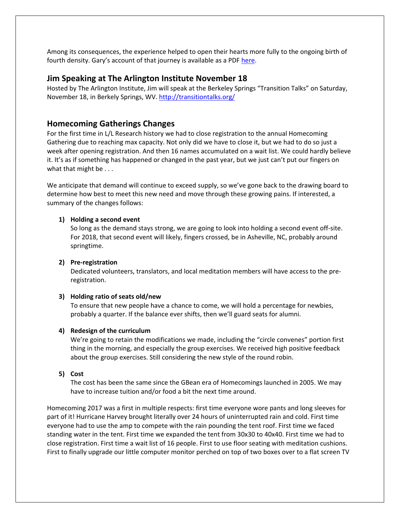Among its consequences, the experience helped to open their hearts more fully to the ongoing birth of fourth density. Gary's account of that journey is available as a PDF [here.](http://llresearch.org/newsletters/gatherings/the_space_between_stories.pdf)

# **Jim Speaking at The Arlington Institute November 18**

Hosted by The Arlington Institute, Jim will speak at the Berkeley Springs "Transition Talks" on Saturday, November 18, in Berkely Springs, WV. http://transitiontalks.org/

# **Homecoming Gatherings Changes**

For the first time in L/L Research history we had to close registration to the annual Homecoming Gathering due to reaching max capacity. Not only did we have to close it, but we had to do so just a week after opening registration. And then 16 names accumulated on a wait list. We could hardly believe it. It's as if something has happened or changed in the past year, but we just can't put our fingers on what that might be . . .

We anticipate that demand will continue to exceed supply, so we've gone back to the drawing board to determine how best to meet this new need and move through these growing pains. If interested, a summary of the changes follows:

### **1) Holding a second event**

So long as the demand stays strong, we are going to look into holding a second event off‐site. For 2018, that second event will likely, fingers crossed, be in Asheville, NC, probably around springtime.

#### **2) Pre‐registration**

Dedicated volunteers, translators, and local meditation members will have access to the pre‐ registration.

#### **3) Holding ratio of seats old/new**

To ensure that new people have a chance to come, we will hold a percentage for newbies, probably a quarter. If the balance ever shifts, then we'll guard seats for alumni.

#### **4) Redesign of the curriculum**

We're going to retain the modifications we made, including the "circle convenes" portion first thing in the morning, and especially the group exercises. We received high positive feedback about the group exercises. Still considering the new style of the round robin.

#### **5) Cost**

The cost has been the same since the GBean era of Homecomings launched in 2005. We may have to increase tuition and/or food a bit the next time around.

Homecoming 2017 was a first in multiple respects: first time everyone wore pants and long sleeves for part of it! Hurricane Harvey brought literally over 24 hours of uninterrupted rain and cold. First time everyone had to use the amp to compete with the rain pounding the tent roof. First time we faced standing water in the tent. First time we expanded the tent from 30x30 to 40x40. First time we had to close registration. First time a wait list of 16 people. First to use floor seating with meditation cushions. First to finally upgrade our little computer monitor perched on top of two boxes over to a flat screen TV